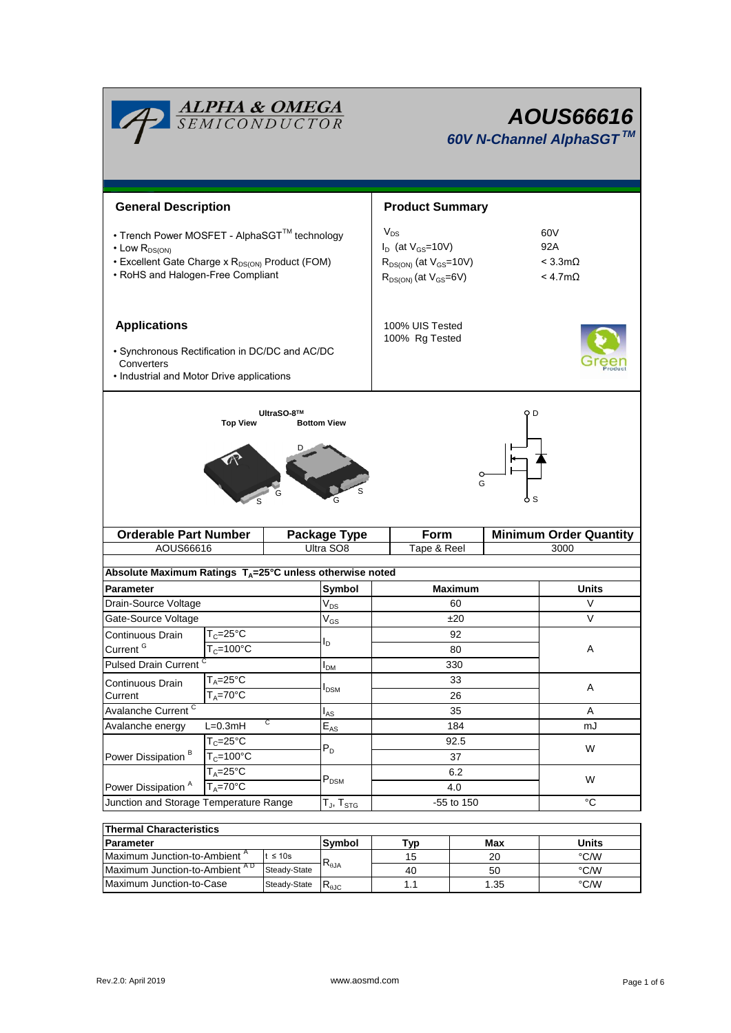| <b>ALPHA &amp; OMEGA</b><br>SEMICONDUCTOR                                                                                                                                    |                                              |                         |                                   | AOUS66616<br>60V N-Channel AlphaSGT™                                                          |  |                                                           |  |  |
|------------------------------------------------------------------------------------------------------------------------------------------------------------------------------|----------------------------------------------|-------------------------|-----------------------------------|-----------------------------------------------------------------------------------------------|--|-----------------------------------------------------------|--|--|
| <b>General Description</b>                                                                                                                                                   |                                              |                         | <b>Product Summary</b>            |                                                                                               |  |                                                           |  |  |
| • Trench Power MOSFET - AlphaSGT™ technology<br>$\cdot$ Low $R_{DS(ON)}$<br>• Excellent Gate Charge x R <sub>DS(ON)</sub> Product (FOM)<br>• RoHS and Halogen-Free Compliant |                                              |                         | $V_{DS}$                          | $I_D$ (at $V_{GS}$ =10V)<br>$R_{DS(ON)}$ (at $V_{GS}$ =10V)<br>$R_{DS(ON)}$ (at $V_{GS}=6V$ ) |  | 60V<br>92A<br>$< 3.3 \text{m}\Omega$<br>$<$ 4.7m $\Omega$ |  |  |
| <b>Applications</b><br>· Synchronous Rectification in DC/DC and AC/DC<br>Converters<br>• Industrial and Motor Drive applications                                             |                                              |                         | 100% UIS Tested<br>100% Rg Tested |                                                                                               |  |                                                           |  |  |
| <b>Top View</b><br>G<br><b>Orderable Part Number</b><br>Form<br>Package Type                                                                                                 |                                              |                         |                                   |                                                                                               |  | <b>Minimum Order Quantity</b>                             |  |  |
| AOUS66616                                                                                                                                                                    |                                              | Ultra SO8               |                                   | Tape & Reel                                                                                   |  | 3000                                                      |  |  |
| Absolute Maximum Ratings $T_A = 25^\circ \text{C}$ unless otherwise noted                                                                                                    |                                              |                         |                                   |                                                                                               |  |                                                           |  |  |
| Parameter                                                                                                                                                                    |                                              | Symbol                  |                                   | <b>Maximum</b>                                                                                |  | <b>Units</b>                                              |  |  |
| Drain-Source Voltage                                                                                                                                                         |                                              | $\rm V_{DS}$            |                                   | 60                                                                                            |  | V                                                         |  |  |
| Gate-Source Voltage                                                                                                                                                          |                                              | $\rm V_{GS}$            |                                   | ±20                                                                                           |  | V                                                         |  |  |
| Continuous Drain                                                                                                                                                             | $T_c = 25$ °C                                |                         |                                   | 92<br>80                                                                                      |  | А                                                         |  |  |
|                                                                                                                                                                              | Current <sup>G</sup><br>$T_c = 100^{\circ}C$ |                         |                                   |                                                                                               |  |                                                           |  |  |
|                                                                                                                                                                              | <b>Pulsed Drain Current</b>                  |                         |                                   | 330                                                                                           |  |                                                           |  |  |
| $T_A = 25$ °C<br>Continuous Drain                                                                                                                                            |                                              | <b>I</b> <sub>DSM</sub> |                                   | 33<br>26                                                                                      |  | A<br>A                                                    |  |  |
| $T_A = 70$ °C<br>Current<br>Avalanche Current <sup>C</sup>                                                                                                                   |                                              |                         |                                   |                                                                                               |  |                                                           |  |  |
| С<br>Avalanche energy<br>$L=0.3mH$                                                                                                                                           |                                              | $I_{AS}$<br>$E_{AS}$    |                                   | 35<br>184                                                                                     |  | mJ                                                        |  |  |
|                                                                                                                                                                              | $T_c = 25$ °C                                |                         |                                   | 92.5<br>37<br>6.2<br>4.0                                                                      |  | W<br>W                                                    |  |  |
| Power Dissipation <sup>B</sup>                                                                                                                                               | $T_c = 100^{\circ}$ C                        | $P_D$                   |                                   |                                                                                               |  |                                                           |  |  |
|                                                                                                                                                                              | $T_A = 25^{\circ}C$                          |                         |                                   |                                                                                               |  |                                                           |  |  |
| Power Dissipation <sup>A</sup>                                                                                                                                               | $T_{A} = 70^{\circ}$ C                       | $P_{DSM}$               |                                   |                                                                                               |  |                                                           |  |  |
| Junction and Storage Temperature Range                                                                                                                                       |                                              | $T_{J}$ , $T_{STG}$     |                                   | -55 to 150                                                                                    |  | $\overline{C}$                                            |  |  |
| <b>Thermal Characteristics</b>                                                                                                                                               |                                              |                         |                                   |                                                                                               |  |                                                           |  |  |

| <b>Thermal Characteristics</b>            |              |                |     |       |      |  |  |  |
|-------------------------------------------|--------------|----------------|-----|-------|------|--|--|--|
| <b>Parameter</b>                          | Svmbol       | Tvp            | Max | Units |      |  |  |  |
| Maximum Junction-to-Ambient <sup>"</sup>  | t ≤ 10s      |                | 15  | 20    | °C/W |  |  |  |
| Maximum Junction-to-Ambient <sup>AD</sup> | Steady-State | $R_{\theta$ JA | 40  | 50    | °C/W |  |  |  |
| Maximum Junction-to-Case                  | Steady-State | ∾வс            |     | 1.35  | °C/W |  |  |  |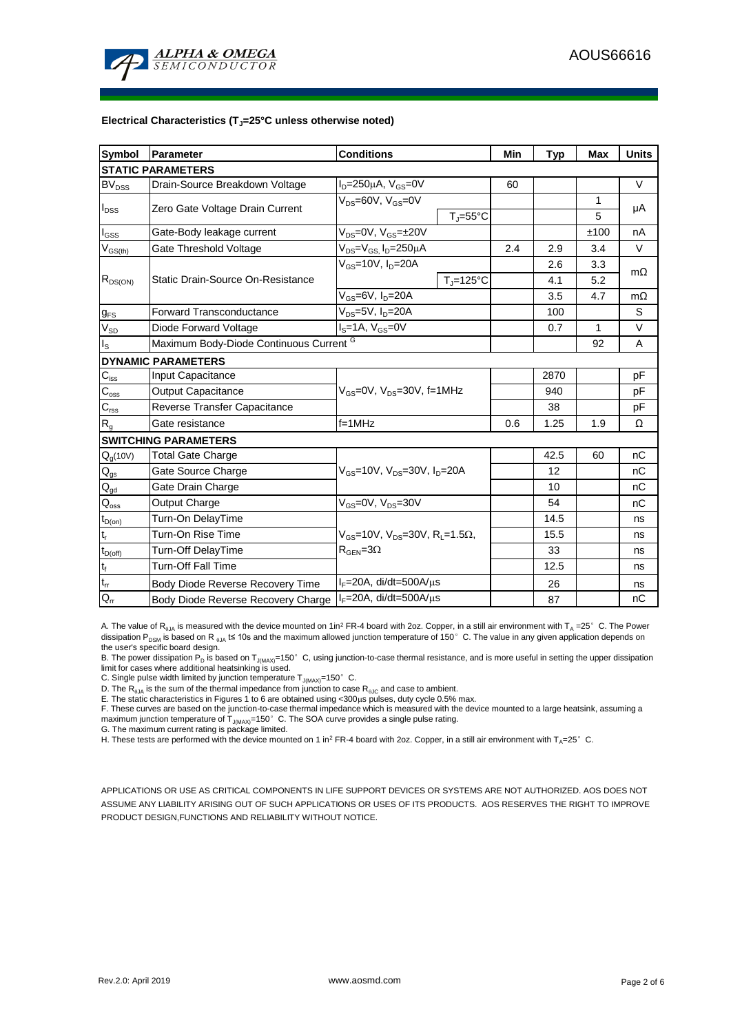

#### **Electrical Characteristics (TJ=25°C unless otherwise noted)**

| <b>Symbol</b>              | Parameter                                                        | <b>Conditions</b>                                            |                        |     | <b>Typ</b> | Max  | <b>Units</b> |  |  |
|----------------------------|------------------------------------------------------------------|--------------------------------------------------------------|------------------------|-----|------------|------|--------------|--|--|
| <b>STATIC PARAMETERS</b>   |                                                                  |                                                              |                        |     |            |      |              |  |  |
| $BV_{DSS}$                 | Drain-Source Breakdown Voltage                                   | $I_D = 250 \mu A$ , $V_{GS} = 0V$                            |                        | 60  |            |      | $\vee$       |  |  |
| $I_{DSS}$                  | Zero Gate Voltage Drain Current                                  | $V_{DS}$ =60V, $V_{GS}$ =0V                                  |                        |     |            | 1    | μA           |  |  |
|                            |                                                                  |                                                              | $T_J = 55^{\circ}C$    |     |            | 5    |              |  |  |
| $I_{GSS}$                  | Gate-Body leakage current                                        | $V_{DS} = 0V$ , $V_{GS} = \pm 20V$                           |                        |     |            | ±100 | nA           |  |  |
| $\rm V_{\rm GS(th)}$       | Gate Threshold Voltage                                           | $V_{DS} = V_{GS}$ , $I_D = 250 \mu A$                        |                        | 2.4 | 2.9        | 3.4  | $\vee$       |  |  |
| $R_{DS(ON)}$               |                                                                  | $V_{GS}$ =10V, $I_{D}$ =20A                                  |                        |     | 2.6        | 3.3  | $m\Omega$    |  |  |
|                            | Static Drain-Source On-Resistance                                |                                                              | $T_{J} = 125^{\circ}C$ |     | 4.1        | 5.2  |              |  |  |
|                            |                                                                  | $V_{GS}$ =6V, $I_{D}$ =20A                                   |                        |     | 3.5        | 4.7  | $m\Omega$    |  |  |
| $g_{FS}$                   | <b>Forward Transconductance</b>                                  | $V_{DS}=5V$ , $I_D=20A$                                      |                        |     | 100        |      | S            |  |  |
| $V_{SD}$                   | Diode Forward Voltage                                            | $IS=1A, VGS=0V$                                              |                        |     | 0.7        | 1    | V            |  |  |
| $I_{\rm S}$                | Maximum Body-Diode Continuous Current G                          |                                                              |                        |     | 92         | A    |              |  |  |
|                            | <b>DYNAMIC PARAMETERS</b>                                        |                                                              |                        |     |            |      |              |  |  |
| $C_{\text{iss}}$           | Input Capacitance                                                |                                                              |                        |     | 2870       |      | pF           |  |  |
| $\overline{C_{\rm oss}}$   | <b>Output Capacitance</b>                                        | $V_{GS}$ =0V, $V_{DS}$ =30V, f=1MHz                          |                        |     | 940        |      | pF           |  |  |
| $C_{\text{rss}}$           | Reverse Transfer Capacitance                                     |                                                              |                        | 38  |            | pF   |              |  |  |
| $R_{g}$                    | Gate resistance                                                  | $f = 1$ MHz                                                  |                        | 0.6 | 1.25       | 1.9  | Ω            |  |  |
|                            | <b>SWITCHING PARAMETERS</b>                                      |                                                              |                        |     |            |      |              |  |  |
| $Q_q(10V)$                 | <b>Total Gate Charge</b>                                         |                                                              |                        |     | 42.5       | 60   | nC           |  |  |
| $\mathsf{Q}_{\mathsf{gs}}$ | $V_{GS}$ =10V, $V_{DS}$ =30V, $I_{D}$ =20A<br>Gate Source Charge |                                                              |                        |     | 12         |      | nC           |  |  |
| $Q_{\text{gd}}$            | Gate Drain Charge                                                |                                                              |                        |     | 10         |      | nC           |  |  |
| $Q_{\rm oss}$              | Output Charge                                                    | $V_{GS}$ =0V, $V_{DS}$ =30V                                  |                        |     | 54         |      | nC           |  |  |
| $t_{D(0n)}$                | Turn-On DelayTime                                                |                                                              |                        |     | 14.5       |      | ns           |  |  |
| t,                         | Turn-On Rise Time                                                | $V_{GS}$ =10V, $V_{DS}$ =30V, R <sub>L</sub> =1.5 $\Omega$ , |                        |     | 15.5       |      | ns           |  |  |
| $t_{D(off)}$               | <b>Turn-Off DelayTime</b>                                        | $R_{\text{GFN}} = 3\Omega$                                   |                        |     | 33         |      | ns           |  |  |
| $\mathbf{t}_\text{f}$      | <b>Turn-Off Fall Time</b>                                        |                                                              |                        |     | 12.5       |      | ns           |  |  |
| $t_{rr}$                   | Body Diode Reverse Recovery Time                                 | $I_F = 20A$ , di/dt=500A/ $\mu$ s                            |                        |     | 26         |      | ns           |  |  |
| $Q_{rr}$                   | Body Diode Reverse Recovery Charge                               | $I_F = 20A$ , di/dt=500A/ $\mu$ s                            |                        |     | 87         |      | nC           |  |  |

A. The value of R<sub>0JA</sub> is measured with the device mounted on 1in<sup>2</sup> FR-4 board with 2oz. Copper, in a still air environment with T<sub>A</sub> =25°C. The Power dissipation P<sub>DSM</sub> is based on R <sub>0JA</sub> t≤ 10s and the maximum allowed junction temperature of 150°C. The value in any given application depends on the user's specific board design.

B. The power dissipation P<sub>D</sub> is based on T<sub>J(MAX)</sub>=150°C, using junction-to-case thermal resistance, and is more useful in setting the upper dissipation limit for cases where additional heatsinking is used.

C. Single pulse width limited by junction temperature  $T_{J(MAX)}$ =150°C.

D. The  $R_{AJA}$  is the sum of the thermal impedance from junction to case  $R_{AJC}$  and case to ambient.

E. The static characteristics in Figures 1 to 6 are obtained using <300 $\mu$ s pulses, duty cycle 0.5% max.

F. These curves are based on the junction-to-case thermal impedance which is measured with the device mounted to a large heatsink, assuming a maximum junction temperature of  $T_{J(MAX)}$ =150°C. The SOA curve provides a single pulse rating.

G. The maximum current rating is package limited.

H. These tests are performed with the device mounted on 1 in<sup>2</sup> FR-4 board with 2oz. Copper, in a still air environment with T<sub>A</sub>=25°C.

APPLICATIONS OR USE AS CRITICAL COMPONENTS IN LIFE SUPPORT DEVICES OR SYSTEMS ARE NOT AUTHORIZED. AOS DOES NOT ASSUME ANY LIABILITY ARISING OUT OF SUCH APPLICATIONS OR USES OF ITS PRODUCTS. AOS RESERVES THE RIGHT TO IMPROVE PRODUCT DESIGN,FUNCTIONS AND RELIABILITY WITHOUT NOTICE.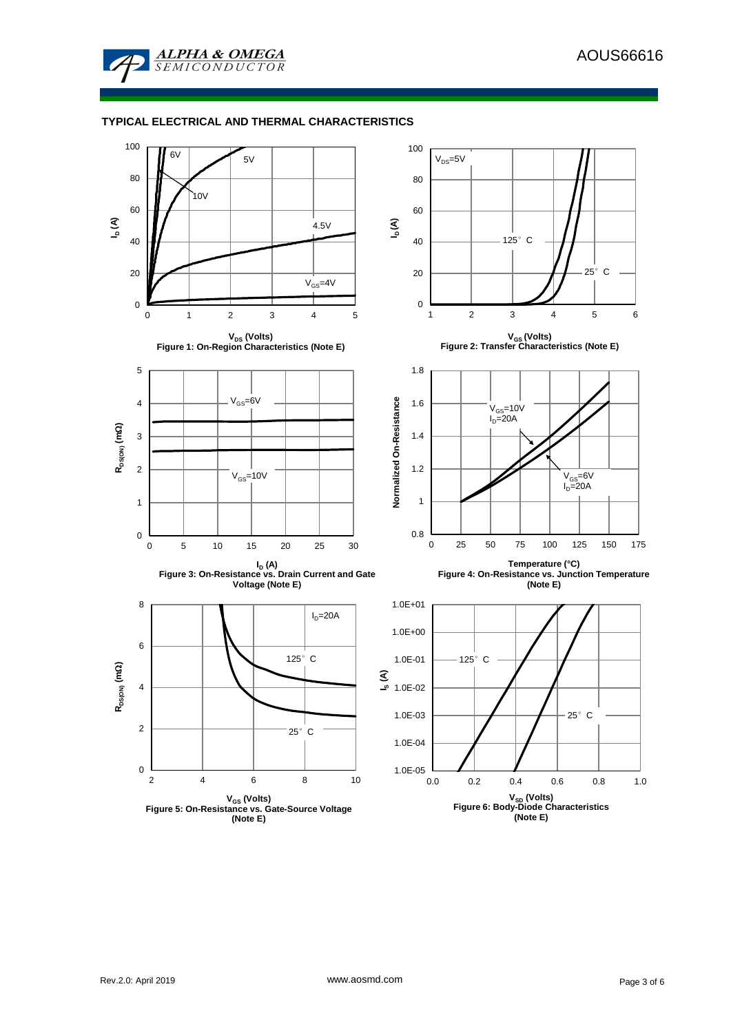

### **TYPICAL ELECTRICAL AND THERMAL CHARACTERISTICS**

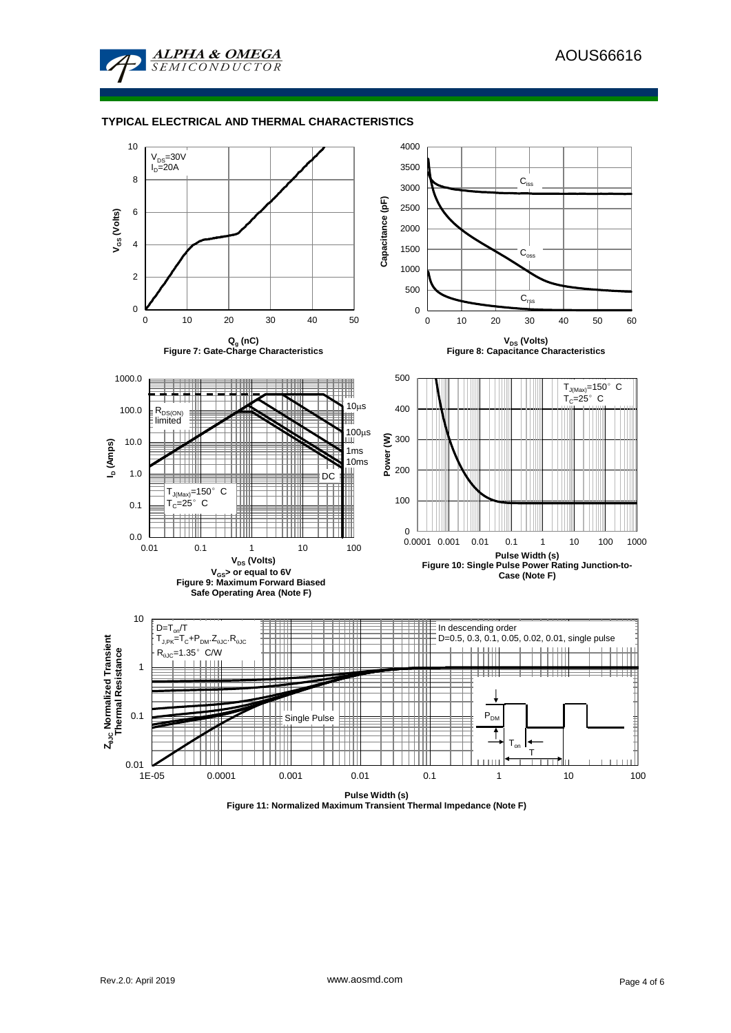

#### **TYPICAL ELECTRICAL AND THERMAL CHARACTERISTICS**



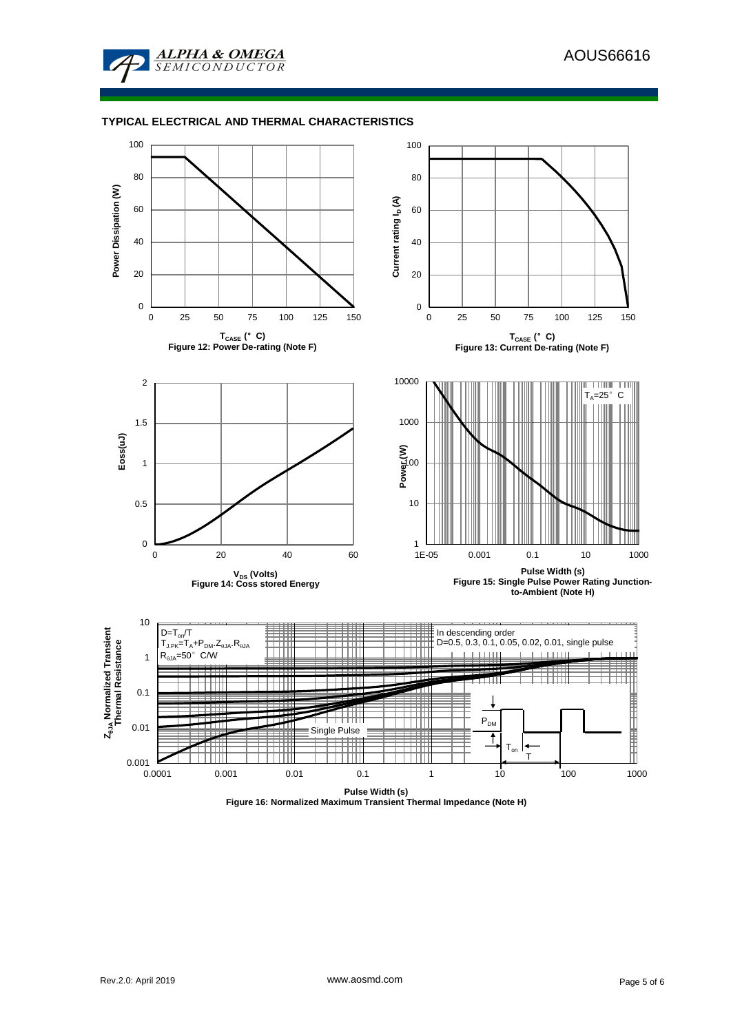

#### **TYPICAL ELECTRICAL AND THERMAL CHARACTERISTICS**



**Figure 16: Normalized Maximum Transient Thermal Impedance (Note H)**